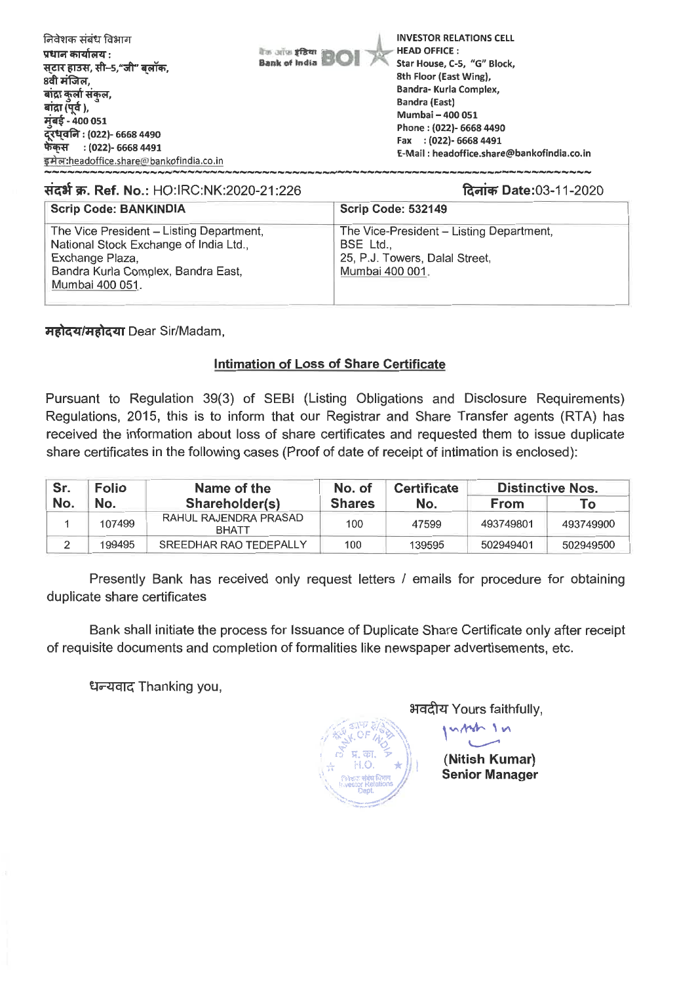| निवेशक संबंध विभाग<br>प्रधान कार्यालय :<br>सटार हाउस, सी-5,"जी" बलॉक,<br>8वी मंजिल,<br>बाद्रा कुर्ला संकुल,<br>बांद्रा (पूर्व ),<br>मुंबई - 400 051<br>दूरध्वनि : (022)- 6668 4490 | <b>INVESTOR RELATIONS CELL</b><br><b>HEAD OFFICE:</b><br>बैंक आँस <b>इंडिया</b><br><b>Bank of India</b><br>Star House, C-5, "G" Block,<br>8th Floor (East Wing),<br>Bandra-Kurla Complex,<br><b>Bandra (East)</b><br>Mumbai - 400 051<br>Phone: (022)- 6668 4490<br>Fax : (022)- 6668 4491 |
|------------------------------------------------------------------------------------------------------------------------------------------------------------------------------------|--------------------------------------------------------------------------------------------------------------------------------------------------------------------------------------------------------------------------------------------------------------------------------------------|
| फेंकस : (022)- 6668 4491<br>इमेल:headoffice.share@bankofindia.co.in                                                                                                                | E-Mail: headoffice.share@bankofindia.co.in                                                                                                                                                                                                                                                 |

## **1:1-dit W. Ref. No.:** HO:IRC:NK:2020-21:226 %mi.\* Date:03-11-2020

| <b>Scrip Code: BANKINDIA</b>                                                                                                                                   | Scrip Code: 532149                                                                                       |
|----------------------------------------------------------------------------------------------------------------------------------------------------------------|----------------------------------------------------------------------------------------------------------|
| The Vice President - Listing Department,<br>National Stock Exchange of India Ltd.,<br>Exchange Plaza,<br>Bandra Kurla Complex, Bandra East,<br>Mumbai 400 051. | The Vice-President - Listing Department,<br>BSE Ltd<br>25, P.J. Towers, Dalal Street,<br>Mumbai 400 001. |

महोदय/महोदया Dear Sir/Madam,

## **Intimation of Loss of Share Certificate**

Pursuant to Regulation 39(3) of SEBI (Listing Obligations and Disclosure Requirements) Regulations, 2015, this is to inform that our Registrar and Share Transfer agents (RTA) has received the information about loss of share certificates and requested them to issue duplicate share certificates in the following cases (Proof of date of receipt of intimation is enclosed):

| Sr. | <b>Folio</b> | Name of the                           | No. of        | <b>Certificate</b> | <b>Distinctive Nos.</b> |           |
|-----|--------------|---------------------------------------|---------------|--------------------|-------------------------|-----------|
| No. | No.          | Shareholder(s)                        | <b>Shares</b> | No.                | <b>From</b>             | To:       |
|     | 107499       | RAHUL RAJENDRA PRASAD<br><b>BHATT</b> | 100           | 47599              | 493749801               | 493749900 |
|     | 199495       | SREEDHAR RAO TEDEPALLY                | 100           | 139595             | 502949401               | 502949500 |

Presently Bank has received only request letters / emails for procedure for obtaining duplicate share certificates

Bank shall initiate the process for Issuance of Duplicate Share Certificate only after receipt of requisite documents and completion of formalities like newspaper advertisements, etc.

**t1T--zrag** Thanking you,

*v*. If  $\frac{1}{2}$ **Department** ,,,,,....\_ •-----

अवदीय Yours faithfully,  $v_{\rm A}$  /  $v_{\rm A}$ 

i

r.: g. W.:. 7 **(Nitish Kumar) Senior Manager**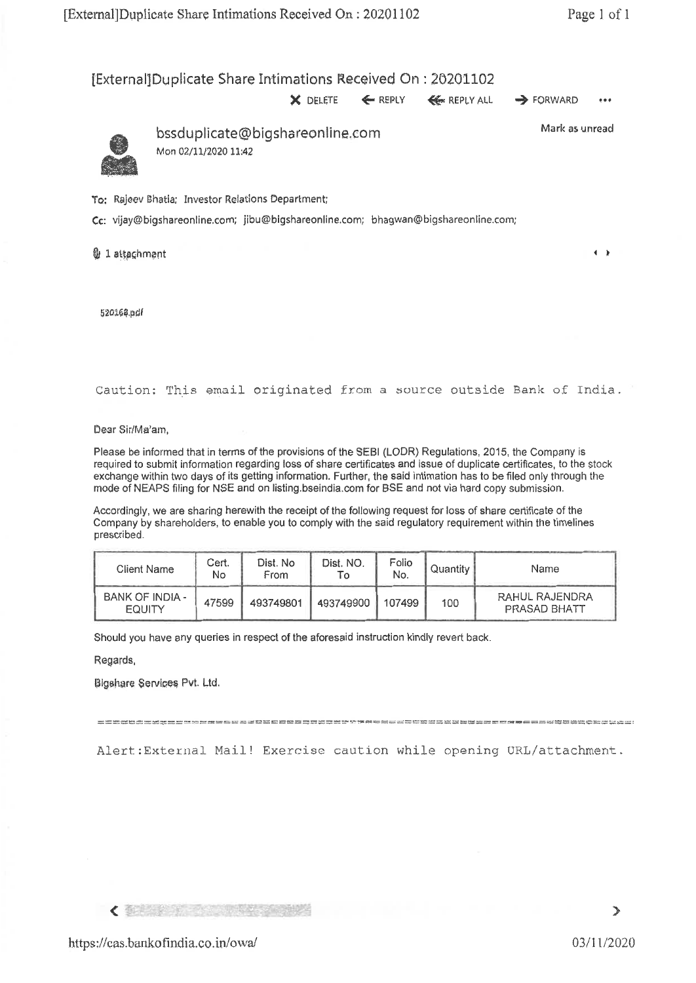## [External]Duplicate Share Intimations Received On : 20201102

**X** DELETE ← REPLY ← REPLY ALL → FORWARD

 $...$ 



bssduplicate@bigshaneonline.corn Mon 02/11/2020 11:42

Mark as unread

To: Rajeev Bhatia; Investor Relations Department;

Cc: vijay@bigshareonline.com; jibu@bigshareonline.com; bhagwan@bigshareonline.com;

**0** 1 attachment **4 It is a contract to the contract of It is a set of It is a set of It is a set of It is a set of It is a set of It is a set of It is a set of It is a set of It is a set of It is a set of It is a set of I** 

52o164.01

Caution: This email originated from a source outside Bank of India.

Deer Sir/Ma'am,

Please be informed that in terms of the provisions of the SEBI (LODR) Regulations, 2015, the Company is required to submit information regarding loss of share certificates and issue of duplicate certificates, to the stock exchange within two days of its getting information. Further, the said intimation has to be filed only through the mode of NEAPS filing for NSE and on listing.bseindia.com for BSE and not via hard copy submission.

Accordingly, we are sharing herewith the receipt of the following request for loss of share certificate of the Company by shareholders, to enable you to comply with the said regulatory requirement within the timelines prescribed.

| Client Name                      | Cert.<br>No | Dist. No<br>From | Dist. NO. | Folio<br>No. | Quantity | Name                           |
|----------------------------------|-------------|------------------|-----------|--------------|----------|--------------------------------|
| BANK OF INDIA -<br><b>EQUITY</b> | 47599       | 493749801        | 493749900 | 107499       | 100      | RAHUL RAJENDRA<br>PRASAD BHATT |

Should you have any queries in respect of the aforesaid instruction kindly revert back.

Regards,

13igshere Services Pvt. Ltd.

Alert:External Mail! Exercise caution while opening URL/attachment.

**【 张某 2000年 2000年 2000年 2000年 2000年 2000年 2000年 2000年 2000年 2000年 2000年 2000年 2000年 2000年 2000年 2000年 2000年 200**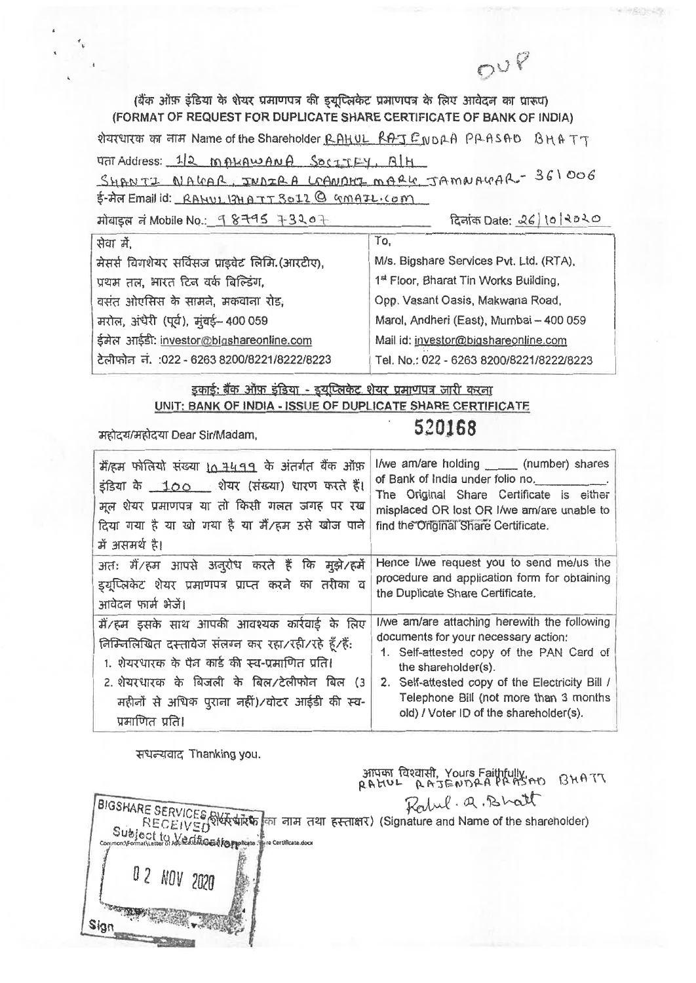(बैंक ऑफ़ इंडिया के शेयर प्रमाणपत्र की इयूप्लिकेट प्रमाणपत्र के लिए आवेदन का प्रारूप) (FORMAT OF REQUEST FOR DUPLICATE SHARE CERTIFICATE OF BANK OF INDIA) शेयरधारक का नाम Name of the Shareholder RAHUL RAJENDAA PAASAD BHATT THE Address: 12 MAKAWANA SOCIETELY, BLH SHANTI NAGAR, JUDIRA LOANDHI MARK JAMNAGAR-361006 E-Ar Email id: RAHUL 13HATT 3012 @ GMAIL.COM दिनांक Date: 26 10 2020 मोबाइल नं Mobile No.: 98795 73207 प्रोता में  $Ta$ 

| मेसर्स विगशेयर सर्विसज प्राइवेट लिमि. (आरटीए), |                                              | M/s. Bigshare Services Pvt. Ltd. (RTA),           |  |  |  |
|------------------------------------------------|----------------------------------------------|---------------------------------------------------|--|--|--|
|                                                | प्रथम तल, भारत टिन वर्क बिल्डिंग,            | 1 <sup>st</sup> Floor, Bharat Tin Works Building, |  |  |  |
|                                                | वसंत ओएसिस के सामने, मकवाना रोड,             | Opp. Vasant Oasis, Makwana Road,                  |  |  |  |
|                                                | मरोल, अंधेरी (पूर्व), मुंबई- 400 059         | Marol, Andheri (East), Mumbai - 400 059           |  |  |  |
|                                                | ईमेल आईडी: investor@bigshareonline.com       | Mail id: investor@bigshareonline.com              |  |  |  |
|                                                | टेलीफोन नं. : 022 - 6263 8200/8221/8222/8223 | Tel. No.: 022 - 6263 8200/8221/8222/8223          |  |  |  |
|                                                |                                              |                                                   |  |  |  |

इकाई: बैंक ऑफ़ इंडिया - इयुप्लिकेट शेयर प्रमाणपत्र जारी करना UNIT: BANK OF INDIA - ISSUE OF DUPLICATE SHARE CERTIFICATE

महोदय/महोदया Dear Sir/Madam,

## 520168

OUP

| मैं/हम फोलियो संख्या 10 7499 के अंतर्गत बैंक ऑफ़                                                                                                                                                                                                                        | I/we am/are holding ______ (number) shares                                                                                                                                                                                                                                                     |
|-------------------------------------------------------------------------------------------------------------------------------------------------------------------------------------------------------------------------------------------------------------------------|------------------------------------------------------------------------------------------------------------------------------------------------------------------------------------------------------------------------------------------------------------------------------------------------|
| इंडिया के 100 शेयर (संख्या) धारण करते हैं।                                                                                                                                                                                                                              | of Bank of India under folio no.                                                                                                                                                                                                                                                               |
| मूल शेयर प्रमाणपत्र या तो किसी गलत जगह पर रख                                                                                                                                                                                                                            | The Original Share Certificate is either                                                                                                                                                                                                                                                       |
| दिया गया है या खो गया है या मैं/हम उसे खोज पाने                                                                                                                                                                                                                         | misplaced OR lost OR I/we am/are unable to                                                                                                                                                                                                                                                     |
| में असमर्थ है।                                                                                                                                                                                                                                                          | find the Original Share Certificate.                                                                                                                                                                                                                                                           |
| अतः मैं/हम आपसे अनुरोध करते हैं कि मुझे/हर्मे                                                                                                                                                                                                                           | Hence I/we request you to send me/us the                                                                                                                                                                                                                                                       |
| डयूप्लिकेट शेयर प्रमाणपत्र प्राप्त करने का तरीका व                                                                                                                                                                                                                      | procedure and application form for obtaining                                                                                                                                                                                                                                                   |
| आवेदन फार्म भेजें।                                                                                                                                                                                                                                                      | the Duplicate Share Certificate.                                                                                                                                                                                                                                                               |
| मैं/हम इसके साथ आपकी आवश्यक कार्रवाई के लिए<br>निम्निलिखित दस्तावेज संलग्न कर रहा/रही/रहे हूँ/हैं:<br>1. शेयरधारक के पैन कार्ड की स्व-प्रमाणित प्रति।<br>2. शेयरधारक के बिजली के बिल/टेलीफोन बिल (3<br>महीनों से अधिक पुराना नहीं)/वोटर आईडी की स्व-<br>प्रमाणित प्रति। | I/we am/are attaching herewith the following<br>documents for your necessary action:<br>1. Self-attested copy of the PAN Card of<br>the shareholder(s).<br>2. Self-attested copy of the Electricity Bill /<br>Telephone Bill (not more than 3 months<br>old) / Voter ID of the shareholder(s). |

संधन्यवाद Thanking you.

आपका विश्वासी, Yours Faithfully<br>RAGUL RAJENDAA PRASAO BHATT

Rabel. a. Bhatt BIGSHARE SERVICES BIGGER (Signature and Name of the shareholder) Subject to Westing at learning 0 2 NOV 2020 Sign<sub>,</sub>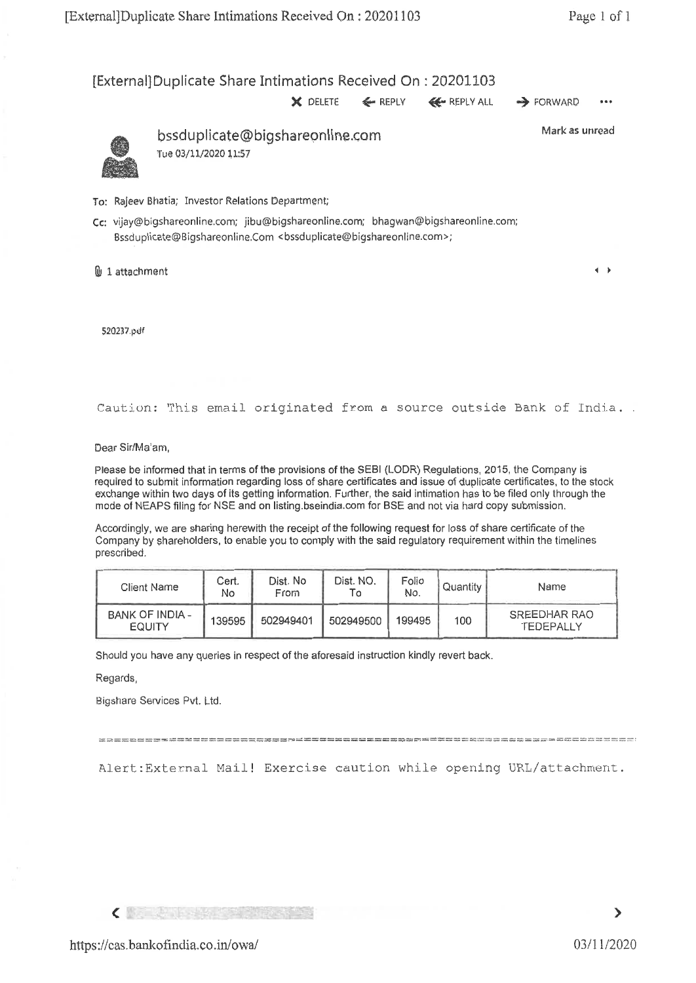[ExternaliDuplicate Share Intimations Received On : 20201103

 $\times$  DELETE  $\leftarrow$  REPLY  $\leftarrow$  REPLY ALL  $\rightarrow$  FORWARD



bssduplicate@bigshareonline.com Tue 03/11/2020 11:57

Mark as unread

 $\leftarrow$ 

To: Rajeev Bhatia; Investor Relations Department;

Cc: vijay@bigshareonline.com; jibu@bigshareonline.com; bhagwan@bigshareonline.com; Bssduplicate@Bigshareonline.Com <bssduplicate@bigshareonline.com>;

B 1 attachment

520237.pdf

Caution: This email originated from a source outside Bank of India.

Dear Sir/Ma'am,

Please be informed that in terms of the provisions of the SEBI (LODR) Regulations, 2015, the Company is required to submit information regarding loss of share certificates and issue of duplicate certificates, to the stock exchange within two days of its getting information. Further, the said intimation has to be filed only through the mode of NEAPS filing for NSE and on listing.bseindia.comfor BSE and not via hard copy submission.

Accordingly, we are sharing herewith the receipt of the following request for loss of share certificate of the Company by shareholders, to enable you to comply with the said regulatory requirement within the timelines prescribed.

| Client Name                      | Cert.<br>No | Dist. No<br>From | Dist. NO. | Folio<br>No. | Quantity | Name                      |
|----------------------------------|-------------|------------------|-----------|--------------|----------|---------------------------|
| BANK OF INDIA -<br><b>EQUITY</b> | 139595      | 502949401        | 502949500 | 199495       | 100      | SREEDHAR RAO<br>TEDEPALLY |

Should you have any queries in respect of the aforesaid instruction kindly revert back.

Regards,

Bigshare Services Pvt. Ltd.

Alert:External Mail! Exercise caution while opening URL/attachment.

**CARD COMMENT** 

Ž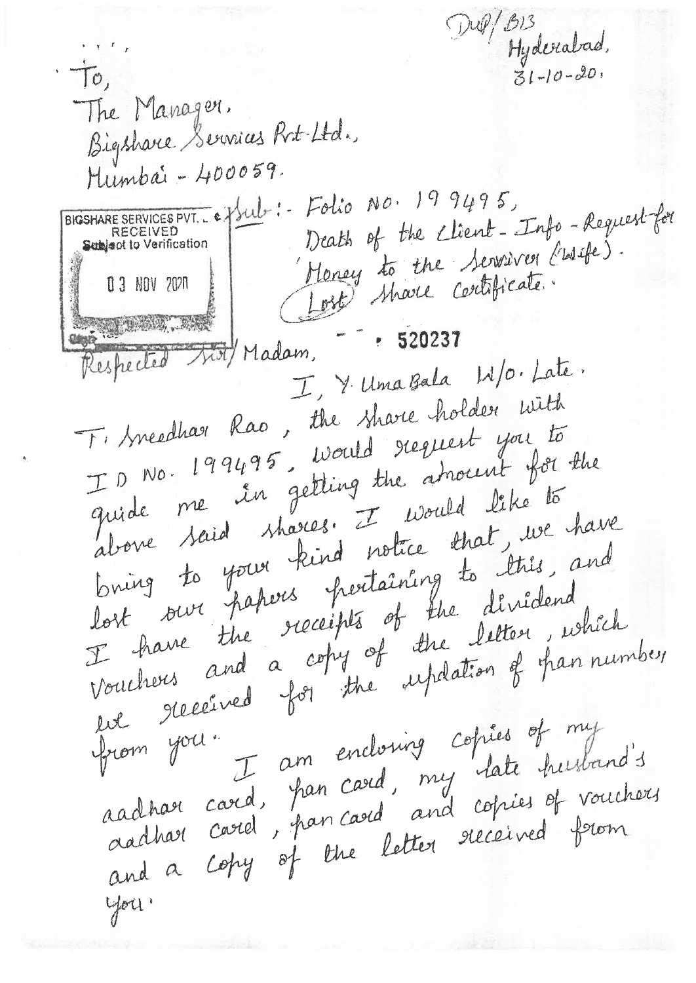Dup/B13 Hyderabad,  $\tau$ The Manager. Bigshare Services Rit-Ltd. Mumbai - 400059. BIGSHARE SERVICES PVT. Ce / Sult :- Folio No. 199495, Death of the client-Info-Requestfor Subject to Verification Money to the Serviver Criste). (Lost) share contificate. 0 3 NOV 2020 Respected Mot/Madam, - 520237 I, Y. Uma Bala W/0. Late. Ti treedhar Rao, the share holder with ID No. 199495, Would request you to quide me in getting the amount for the above said shares. I would like to bring to your kind notice that, we have lost our papers pertaining to this, and I have the receipts of the diridend. vouchers and a copy of the letter, which en received for the updation of fran number I am enclosing copies of my from you. aachaer card, pan card, my late husband's aadhart card, pan card, and copies of vouchers and a copy of the letter received from you!